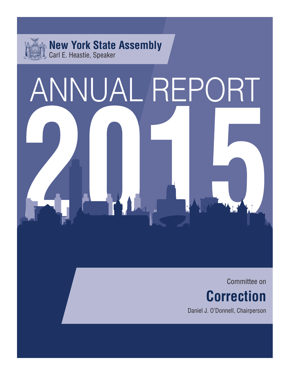

# ANNUAL REPORT

Committee on **Correction** 

Daniel J. O'Donnell, Chairperson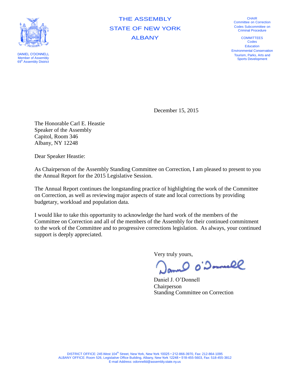

DANIEL O'DONNELL Member of Assembly 69<sup>th</sup> Assembly District

THE ASSEMBLY STATE OF NEW YORK ALBANY

**CHAIR** Committee on Correction Codes Subcommittee on Criminal Procedure

**COMMITTEES** Codes Education Environmental Conservation Tourism, Parks, Arts and Sports Development

December 15, 2015

The Honorable Carl E. Heastie Speaker of the Assembly Capitol, Room 346 Albany, NY 12248

Dear Speaker Heastie:

As Chairperson of the Assembly Standing Committee on Correction, I am pleased to present to you the Annual Report for the 2015 Legislative Session.

The Annual Report continues the longstanding practice of highlighting the work of the Committee on Correction, as well as reviewing major aspects of state and local corrections by providing budgetary, workload and population data.

I would like to take this opportunity to acknowledge the hard work of the members of the Committee on Correction and all of the members of the Assembly for their continued commitment to the work of the Committee and to progressive corrections legislation. As always, your continued support is deeply appreciated.

Very truly yours,

0'Donnell

Daniel J. O'Donnell Chairperson Standing Committee on Correction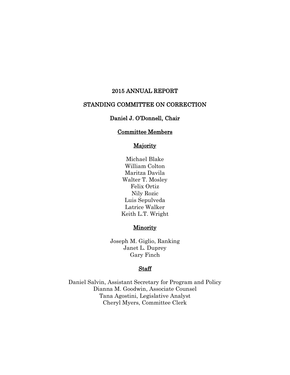### 2015 ANNUAL REPORT

# STANDING COMMITTEE ON CORRECTION

# Daniel J. O'Donnell, Chair

# Committee Members

# **Majority**

Michael Blake William Colton Maritza Davila Walter T. Mosley Felix Ortiz Nily Rozic Luis Sepulveda Latrice Walker Keith L.T. Wright

# **Minority**

Joseph M. Giglio, Ranking Janet L. Duprey Gary Finch

### Staff

Daniel Salvin, Assistant Secretary for Program and Policy Dianna M. Goodwin, Associate Counsel Tana Agostini, Legislative Analyst Cheryl Myers, Committee Clerk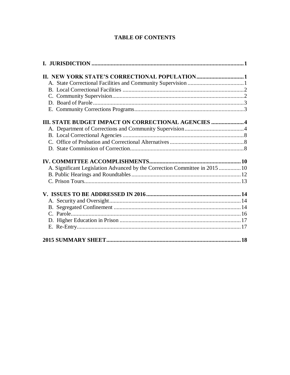# **TABLE OF CONTENTS**

| <b>III. STATE BUDGET IMPACT ON CORRECTIONAL AGENCIES  4</b>                 |  |
|-----------------------------------------------------------------------------|--|
|                                                                             |  |
|                                                                             |  |
|                                                                             |  |
|                                                                             |  |
|                                                                             |  |
|                                                                             |  |
| A. Significant Legislation Advanced by the Correction Committee in 2015  10 |  |
|                                                                             |  |
|                                                                             |  |
|                                                                             |  |
|                                                                             |  |
|                                                                             |  |
|                                                                             |  |
|                                                                             |  |
|                                                                             |  |
|                                                                             |  |
|                                                                             |  |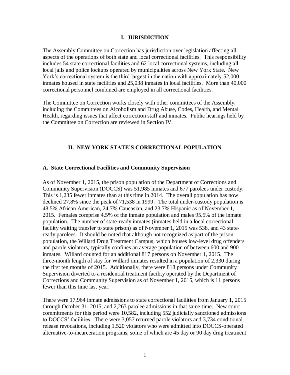### **I. JURISDICTION**

<span id="page-5-0"></span>The Assembly Committee on Correction has jurisdiction over legislation affecting all aspects of the operations of both state and local correctional facilities. This responsibility includes 54 state correctional facilities and 62 local correctional systems, including all local jails and police lockups operated by municipalities across New York State. New York's correctional system is the third largest in the nation with approximately 52,000 inmates housed in state facilities and 25,038 inmates in local facilities. More than 40,000 correctional personnel combined are employed in all correctional facilities.

The Committee on Correction works closely with other committees of the Assembly, including the Committees on Alcoholism and Drug Abuse, Codes, Health, and Mental Health, regarding issues that affect correction staff and inmates. Public hearings held by the Committee on Correction are reviewed in Section IV.

# **II. NEW YORK STATE'S CORRECTIONAL POPULATION**

### <span id="page-5-2"></span><span id="page-5-1"></span>**A. State Correctional Facilities and Community Supervision**

As of November 1, 2015, the prison population of the Department of Corrections and Community Supervision (DOCCS) was 51,985 inmates and 677 parolees under custody. This is 1,235 fewer inmates than at this time in 2014. The overall population has now declined 27.8% since the peak of 71,538 in 1999. The total under-custody population is 48.5% African American, 24.7% Caucasian, and 23.7% Hispanic as of November 1, 2015. Females comprise 4.5% of the inmate population and males 95.5% of the inmate population. The number of state-ready inmates (inmates held in a local correctional facility waiting transfer to state prison) as of November 1, 2015 was 538, and 43 stateready parolees. It should be noted that although not recognized as part of the prison population, the Willard Drug Treatment Campus, which houses low-level drug offenders and parole violators, typically confines an average population of between 600 and 900 inmates. Willard counted for an additional 817 persons on November 1, 2015. The three-month length of stay for Willard inmates resulted in a population of 2,330 during the first ten months of 2015. Additionally, there were 818 persons under Community Supervision diverted to a residential treatment facility operated by the Department of Corrections and Community Supervision as of November 1, 2015, which is 11 persons fewer than this time last year.

There were 17,964 inmate admissions to state correctional facilities from January 1, 2015 through October 31, 2015, and 2,263 parolee admissions in that same time. New court commitments for this period were 10,582, including 552 judicially sanctioned admissions to DOCCS' facilities. There were 3,057 returned parole violators and 3,734 conditional release revocations, including 1,520 violators who were admitted into DOCCS-operated alternative-to-incarceration programs, some of which are 45 day or 90 day drug treatment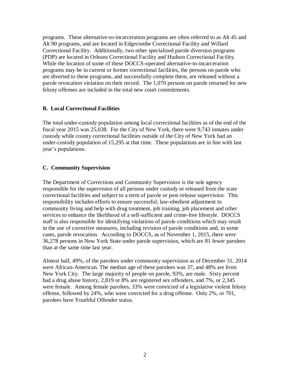programs. These alternative-to-incarceration programs are often referred to as Alt 45 and Alt 90 programs, and are located in Edgecombe Correctional Facility and Willard Correctional Facility. Additionally, two other specialized parole diversion programs (PDP) are located in Orleans Correctional Facility and Hudson Correctional Facility. While the location of some of these DOCCS-operated alternative-to-incarceration programs may be in current or former correctional facilities, the persons on parole who are diverted to these programs, and successfully complete them, are released without a parole revocation violation on their record. The 1,070 persons on parole returned for new felony offenses are included in the total new court commitments.

# <span id="page-6-0"></span>**B. Local Correctional Facilities**

The total under-custody population among local correctional facilities as of the end of the fiscal year 2015 was 25,038. For the City of New York, there were 9,743 inmates under custody while county correctional facilities outside of the City of New York had an under-custody population of 15,295 at that time. These populations are in line with last year's populations.

# <span id="page-6-1"></span>**C. Community Supervision**

The Department of Corrections and Community Supervision is the sole agency responsible for the supervision of all persons under custody or released from the state correctional facilities and subject to a term of parole or post-release supervision. This responsibility includes efforts to ensure successful, law-obedient adjustment to community living and help with drug treatment, job training, job placement and other services to enhance the likelihood of a self-sufficient and crime-free lifestyle. DOCCS staff is also responsible for identifying violations of parole conditions which may result in the use of corrective measures, including revision of parole conditions and, in some cases, parole revocation. According to DOCCS, as of November 1, 2015, there were 36,278 persons in New York State under parole supervision, which are 81 fewer parolees than at the same time last year.

Almost half, 49%, of the parolees under community supervision as of December 31, 2014 were African-American. The median age of these parolees was 37, and 48% are from New York City. The large majority of people on parole, 93%, are male. Sixty percent had a drug abuse history, 2,819 or 8% are registered sex offenders, and 7%, or 2,345 were female. Among female parolees, 33% were convicted of a legislative violent felony offense, followed by 24%, who were convicted for a drug offense. Only 2%, or 701, parolees have Youthful Offender status.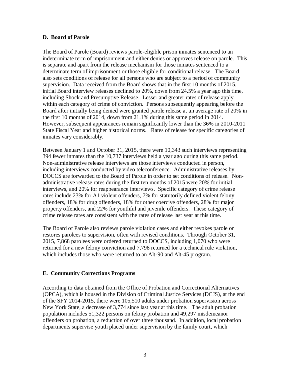### <span id="page-7-0"></span>**D. Board of Parole**

The Board of Parole (Board) reviews parole-eligible prison inmates sentenced to an indeterminate term of imprisonment and either denies or approves release on parole. This is separate and apart from the release mechanism for those inmates sentenced to a determinate term of imprisonment or those eligible for conditional release. The Board also sets conditions of release for all persons who are subject to a period of community supervision. Data received from the Board shows that in the first 10 months of 2015, initial Board interview releases declined to 20%, down from 24.5% a year ago this time, including Shock and Presumptive Release. Lesser and greater rates of release apply within each category of crime of conviction. Persons subsequently appearing before the Board after initially being denied were granted parole release at an average rate of 20% in the first 10 months of 2014, down from 21.1% during this same period in 2014. However, subsequent appearances remain significantly lower than the 36% in 2010-2011 State Fiscal Year and higher historical norms. Rates of release for specific categories of inmates vary considerably.

Between January 1 and October 31, 2015, there were 10,343 such interviews representing 394 fewer inmates than the 10,737 interviews held a year ago during this same period. Non-administrative release interviews are those interviews conducted in person, including interviews conducted by video teleconference. Administrative releases by DOCCS are forwarded to the Board of Parole in order to set conditions of release. Nonadministrative release rates during the first ten months of 2015 were 20% for initial interviews, and 20% for reappearance interviews. Specific category of crime release rates include 23% for A1 violent offenders, 7% for statutorily defined violent felony offenders, 18% for drug offenders, 18% for other coercive offenders, 28% for major property offenders, and 22% for youthful and juvenile offenders. These category of crime release rates are consistent with the rates of release last year at this time.

The Board of Parole also reviews parole violation cases and either revokes parole or restores parolees to supervision, often with revised conditions. Through October 31, 2015, 7,868 parolees were ordered returned to DOCCS, including 1,070 who were returned for a new felony conviction and 7,798 returned for a technical rule violation, which includes those who were returned to an Alt-90 and Alt-45 program.

### <span id="page-7-1"></span>**E. Community Corrections Programs**

According to data obtained from the Office of Probation and Correctional Alternatives (OPCA), which is housed in the Division of Criminal Justice Services (DCJS), at the end of the SFY 2014-2015, there were 105,510 adults under probation supervision across New York State, a decrease of 3,774 since last year at this time. The adult probation population includes 51,322 persons on felony probation and 49,297 misdemeanor offenders on probation, a reduction of over three thousand. In addition, local probation departments supervise youth placed under supervision by the family court, which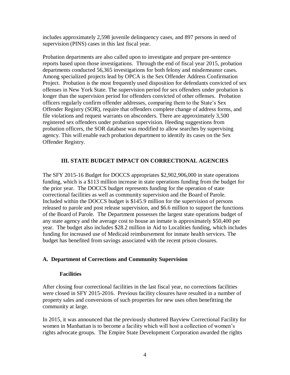includes approximately 2,598 juvenile delinquency cases, and 897 persons in need of supervision (PINS) cases in this last fiscal year.

Probation departments are also called upon to investigate and prepare pre-sentence reports based upon those investigations. Through the end of fiscal year 2015, probation departments conducted 56,365 investigations for both felony and misdemeanor cases. Among specialized projects lead by OPCA is the Sex Offender Address Confirmation Project. Probation is the most frequently used disposition for defendants convicted of sex offenses in New York State. The supervision period for sex offenders under probation is longer than the supervision period for offenders convicted of other offenses. Probation officers regularly confirm offender addresses, comparing them to the State's Sex Offender Registry (SOR), require that offenders complete change of address forms, and file violations and request warrants on absconders. There are approximately 3,500 registered sex offenders under probation supervision. Heeding suggestions from probation officers, the SOR database was modified to allow searches by supervising agency. This will enable each probation department to identify its cases on the Sex Offender Registry.

# **III. STATE BUDGET IMPACT ON CORRECTIONAL AGENCIES**

<span id="page-8-0"></span>The SFY 2015-16 Budget for DOCCS appropriates \$2,902,906,000 in state operations funding, which is a \$113 million increase in state operations funding from the budget for the prior year. The DOCCS budget represents funding for the operation of state correctional facilities as well as community supervision and the Board of Parole. Included within the DOCCS budget is \$145.9 million for the supervision of persons released to parole and post release supervision, and \$6.6 million to support the functions of the Board of Parole. The Department possesses the largest state operations budget of any state agency and the average cost to house an inmate is approximately \$50,400 per year. The budget also includes \$28.2 million in Aid to Localities funding, which includes funding for increased use of Medicaid reimbursement for inmate health services. The budget has benefited from savings associated with the recent prison closures.

### <span id="page-8-1"></span>**A. Department of Corrections and Community Supervision**

### **Facilities**

After closing four correctional facilities in the last fiscal year, no corrections facilities were closed in SFY 2015-2016. Previous facility closures have resulted in a number of property sales and conversions of such properties for new uses often benefitting the community at large.

In 2015, it was announced that the previously shuttered Bayview Correctional Facility for women in Manhattan is to become a facility which will host a collection of women's rights advocate groups. The Empire State Development Corporation awarded the rights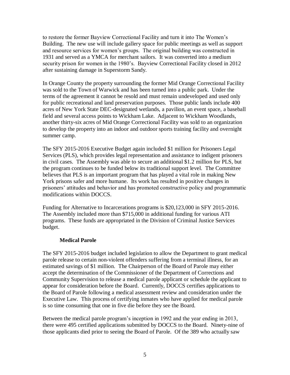to restore the former Bayview Correctional Facility and turn it into The Women's Building. The new use will include gallery space for public meetings as well as support and resource services for women's groups. The original building was constructed in 1931 and served as a YMCA for merchant sailors. It was converted into a medium security prison for women in the 1980's. Bayview Correctional Facility closed in 2012 after sustaining damage in Superstorm Sandy.

In Orange County the property surrounding the former Mid Orange Correctional Facility was sold to the Town of Warwick and has been turned into a public park. Under the terms of the agreement it cannot be resold and must remain undeveloped and used only for public recreational and land preservation purposes. Those public lands include 400 acres of New York State DEC-designated wetlands, a pavilion, an event space, a baseball field and several access points to Wickham Lake. Adjacent to Wickham Woodlands, another thirty-six acres of Mid Orange Correctional Facility was sold to an organization to develop the property into an indoor and outdoor sports training facility and overnight summer camp.

The SFY 2015-2016 Executive Budget again included \$1 million for Prisoners Legal Services (PLS), which provides legal representation and assistance to indigent prisoners in civil cases. The Assembly was able to secure an additional \$1.2 million for PLS, but the program continues to be funded below its traditional support level. The Committee believes that PLS is an important program that has played a vital role in making New York prisons safer and more humane. Its work has resulted in positive changes in prisoners' attitudes and behavior and has promoted constructive policy and programmatic modifications within DOCCS.

Funding for Alternative to Incarcerations programs is \$20,123,000 in SFY 2015-2016. The Assembly included more than \$715,000 in additional funding for various ATI programs. These funds are appropriated in the Division of Criminal Justice Services budget.

### **Medical Parole**

The SFY 2015-2016 budget included legislation to allow the Department to grant medical parole release to certain non-violent offenders suffering from a terminal illness, for an estimated savings of \$1 million. The Chairperson of the Board of Parole may either accept the determination of the Commissioner of the Department of Corrections and Community Supervision to release a medical parole applicant or schedule the applicant to appear for consideration before the Board. Currently, DOCCS certifies applications to the Board of Parole following a medical assessment review and consideration under the Executive Law. This process of certifying inmates who have applied for medical parole is so time consuming that one in five die before they see the Board.

Between the medical parole program's inception in 1992 and the year ending in 2013, there were 495 certified applications submitted by DOCCS to the Board. Ninety-nine of those applicants died prior to seeing the Board of Parole. Of the 389 who actually saw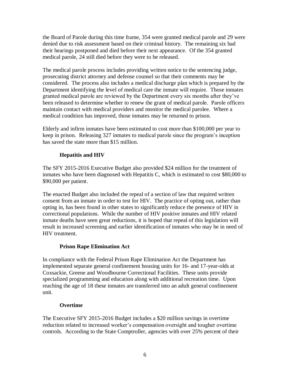the Board of Parole during this time frame, 354 were granted medical parole and 29 were denied due to risk assessment based on their criminal history. The remaining six had their hearings postponed and died before their next appearance. Of the 354 granted medical parole, 24 still died before they were to be released.

The medical parole process includes providing written notice to the sentencing judge, prosecuting district attorney and defense counsel so that their comments may be considered. The process also includes a medical discharge plan which is prepared by the Department identifying the level of medical care the inmate will require. Those inmates granted medical parole are reviewed by the Department every six months after they've been released to determine whether to renew the grant of medical parole. Parole officers maintain contact with medical providers and monitor the medical parolee. Where a medical condition has improved, those inmates may be returned to prison.

Elderly and infirm inmates have been estimated to cost more than \$100,000 per year to keep in prison. Releasing 327 inmates to medical parole since the program's inception has saved the state more than \$15 million.

# **Hepatitis and HIV**

The SFY 2015-2016 Executive Budget also provided \$24 million for the treatment of inmates who have been diagnosed with Hepatitis C, which is estimated to cost \$80,000 to \$90,000 per patient.

The enacted Budget also included the repeal of a section of law that required written consent from an inmate in order to test for HIV. The practice of opting out, rather than opting in, has been found in other states to significantly reduce the presence of HIV in correctional populations. While the number of HIV positive inmates and HIV related inmate deaths have seen great reductions, it is hoped that repeal of this legislation will result in increased screening and earlier identification of inmates who may be in need of HIV treatment.

# **Prison Rape Elimination Act**

In compliance with the Federal Prison Rape Elimination Act the Department has implemented separate general confinement housing units for 16- and 17-year-olds at Coxsackie, Greene and Woodbourne Correctional Facilities. These units provide specialized programming and education along with additional recreation time. Upon reaching the age of 18 these inmates are transferred into an adult general confinement unit.

# **Overtime**

The Executive SFY 2015-2016 Budget includes a \$20 million savings in overtime reduction related to increased worker's compensation oversight and tougher overtime controls. According to the State Comptroller, agencies with over 25% percent of their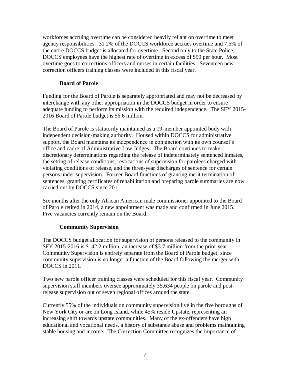workforces accruing overtime can be considered heavily reliant on overtime to meet agency responsibilities. 31.2% of the DOCCS workforce accrues overtime and 7.5% of the entire DOCCS budget is allocated for overtime. Second only to the State Police, DOCCS employees have the highest rate of overtime in excess of \$50 per hour. Most overtime goes to corrections officers and nurses in certain facilities. Seventeen new correction officers training classes were included in this fiscal year.

# **Board of Parole**

Funding for the Board of Parole is separately appropriated and may not be decreased by interchange with any other appropriation in the DOCCS budget in order to ensure adequate funding to perform its mission with the required independence. The SFY 2015- 2016 Board of Parole budget is \$6.6 million.

The Board of Parole is statutorily maintained as a 19-member appointed body with independent decision-making authority. Housed within DOCCS for administrative support, the Board maintains its independence in conjunction with its own counsel's office and cadre of Administrative Law Judges. The Board continues to make discretionary determinations regarding the release of indeterminately sentenced inmates, the setting of release conditions, revocations of supervision for parolees charged with violating conditions of release, and the three-year discharges of sentence for certain persons under supervision. Former Board functions of granting merit termination of sentences, granting certificates of rehabilitation and preparing parole summaries are now carried out by DOCCS since 2011.

Six months after the only African American male commissioner appointed to the Board of Parole retired in 2014, a new appointment was made and confirmed in June 2015. Five vacancies currently remain on the Board.

# **Community Supervision**

The DOCCS budget allocation for supervision of persons released to the community in SFY 2015-2016 is \$142.2 million, an increase of \$3.7 million from the prior year. Community Supervision is entirely separate from the Board of Parole budget, since community supervision is no longer a function of the Board following the merger with DOCCS in 2011.

Two new parole officer training classes were scheduled for this fiscal year. Community supervision staff members oversee approximately 35,634 people on parole and postrelease supervision out of seven regional offices around the state.

Currently 55% of the individuals on community supervision live in the five boroughs of New York City or are on Long Island, while 45% reside Upstate, representing an increasing shift towards upstate communities. Many of the ex-offenders have high educational and vocational needs, a history of substance abuse and problems maintaining stable housing and income. The Correction Committee recognizes the importance of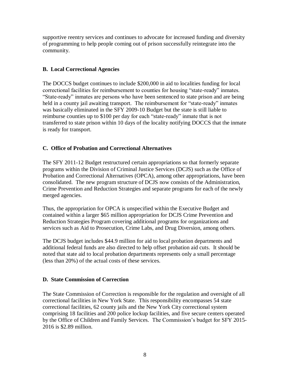supportive reentry services and continues to advocate for increased funding and diversity of programming to help people coming out of prison successfully reintegrate into the community.

# <span id="page-12-0"></span>**B. Local Correctional Agencies**

The DOCCS budget continues to include \$200,000 in aid to localities funding for local correctional facilities for reimbursement to counties for housing "state-ready" inmates. "State-ready" inmates are persons who have been sentenced to state prison and are being held in a county jail awaiting transport. The reimbursement for "state-ready" inmates was basically eliminated in the SFY 2009-10 Budget but the state is still liable to reimburse counties up to \$100 per day for each "state-ready" inmate that is not transferred to state prison within 10 days of the locality notifying DOCCS that the inmate is ready for transport.

# <span id="page-12-1"></span>**C. Office of Probation and Correctional Alternatives**

The SFY 2011-12 Budget restructured certain appropriations so that formerly separate programs within the Division of Criminal Justice Services (DCJS) such as the Office of Probation and Correctional Alternatives (OPCA), among other appropriations, have been consolidated. The new program structure of DCJS now consists of the Administration, Crime Prevention and Reduction Strategies and separate programs for each of the newly merged agencies.

Thus, the appropriation for OPCA is unspecified within the Executive Budget and contained within a larger \$65 million appropriation for DCJS Crime Prevention and Reduction Strategies Program covering additional programs for organizations and services such as Aid to Prosecution, Crime Labs, and Drug Diversion, among others.

The DCJS budget includes \$44.9 million for aid to local probation departments and additional federal funds are also directed to help offset probation aid cuts. It should be noted that state aid to local probation departments represents only a small percentage (less than 20%) of the actual costs of these services.

# <span id="page-12-2"></span>**D. State Commission of Correction**

The State Commission of Correction is responsible for the regulation and oversight of all correctional facilities in New York State. This responsibility encompasses 54 state correctional facilities, 62 county jails and the New York City correctional system comprising 18 facilities and 200 police lockup facilities, and five secure centers operated by the Office of Children and Family Services. The Commission's budget for SFY 2015- 2016 is \$2.89 million.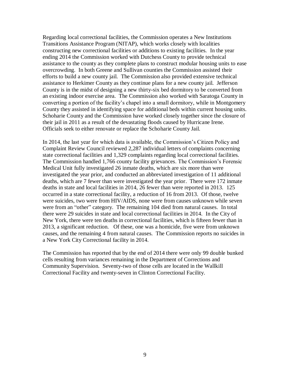Regarding local correctional facilities, the Commission operates a New Institutions Transitions Assistance Program (NITAP), which works closely with localities constructing new correctional facilities or additions to existing facilities. In the year ending 2014 the Commission worked with Dutchess County to provide technical assistance to the county as they complete plans to construct modular housing units to ease overcrowding. In both Greene and Sullivan counties the Commission assisted their efforts to build a new county jail. The Commission also provided extensive technical assistance to Herkimer County as they continue plans for a new county jail. Jefferson County is in the midst of designing a new thirty-six bed dormitory to be converted from an existing indoor exercise area. The Commission also worked with Saratoga County in converting a portion of the facility's chapel into a small dormitory, while in Montgomery County they assisted in identifying space for additional beds within current housing units. Schoharie County and the Commission have worked closely together since the closure of their jail in 2011 as a result of the devastating floods caused by Hurricane Irene. Officials seek to either renovate or replace the Schoharie County Jail.

In 2014, the last year for which data is available, the Commission's Citizen Policy and Complaint Review Council reviewed 2,287 individual letters of complaints concerning state correctional facilities and 1,329 complaints regarding local correctional facilities. The Commission handled 1,766 county facility grievances. The Commission's Forensic Medical Unit fully investigated 26 inmate deaths, which are six more than were investigated the year prior, and conducted an abbreviated investigation of 11 additional deaths, which are 7 fewer than were investigated the year prior. There were 172 inmate deaths in state and local facilities in 2014, 26 fewer than were reported in 2013. 125 occurred in a state correctional facility, a reduction of 16 from 2013. Of those, twelve were suicides, two were from HIV/AIDS, none were from causes unknown while seven were from an "other" category. The remaining 104 died from natural causes. In total there were 29 suicides in state and local correctional facilities in 2014. In the City of New York, there were ten deaths in correctional facilities, which is fifteen fewer than in 2013, a significant reduction. Of these, one was a homicide, five were from unknown causes, and the remaining 4 from natural causes. The Commission reports no suicides in a New York City Correctional facility in 2014.

The Commission has reported that by the end of 2014 there were only 99 double bunked cells resulting from variances remaining in the Department of Corrections and Community Supervision. Seventy-two of those cells are located in the Wallkill Correctional Facility and twenty-seven in Clinton Correctional Facility.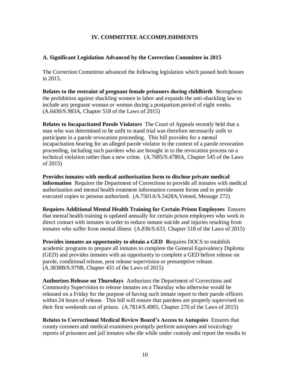# **IV. COMMITTEE ACCOMPLISHMENTS**

### <span id="page-14-1"></span><span id="page-14-0"></span>**A. Significant Legislation Advanced by the Correction Committee in 2015**

The Correction Committee advanced the following legislation which passed both houses in 2015.

**Relates to the restraint of pregnant female prisoners during childbirth S**trengthens the prohibition against shackling women in labor and expands the anti-shackling law to include any pregnant woman or woman during a postpartum period of eight weeks. (A.6430/S.983A, Chapter 518 of the Laws of 2015)

**Relates to Incapacitated Parole Violators** The Court of Appeals recently held that a man who was determined to be unfit to stand trial was therefore necessarily unfit to participate in a parole revocation proceeding. This bill provides for a mental incapacitation hearing for an alleged parole violator in the context of a parole revocation proceeding, including such parolees who are brought in to the revocation process on a technical violation rather than a new crime. (A.7685/S.4780A, Chapter 545 of the Laws of 2015)

**Provides inmates with medical authorization form to disclose private medical information** Requires the Department of Corrections to provide all inmates with medical authorization and mental health treatment information consent forms and to provide executed copies to persons authorized.  $(A.7501A/S.5428A,$ Vetoed, Message 272)

**Requires Additional Mental Health Training for Certain Prison Employees** Ensures that mental health training is updated annually for certain prison employees who work in direct contact with inmates in order to reduce inmate suicide and injuries resulting from inmates who suffer from mental illness (A.836/S.633, Chapter 518 of the Laws of 2015)

**Provides inmates an opportunity to obtain a GED R**equires DOCS to establish academic programs to prepare all inmates to complete the General Equivalency Diploma (GED) and provides inmates with an opportunity to complete a GED before release on parole, conditional release, post release supervision or presumptive release. (A.3838B/S.979B, Chapter 431 of the Laws of 2015)

**Authorizes Release on Thursdays** Authorizes the Department of Corrections and Community Supervision to release inmates on a Thursday who otherwise would be released on a Friday for the purpose of having such inmate report to their parole officers within 24 hours of release. This bill will ensure that parolees are properly supervised on their first weekends out of prison. (A.7814/S.4905, Chapter 270 of the Laws of 2015)

**Relates to Correctional Medical Review Board's Access to Autopsies** Ensures that county coroners and medical examiners promptly perform autopsies and toxicology reports of prisoners and jail inmates who die while under custody and report the results to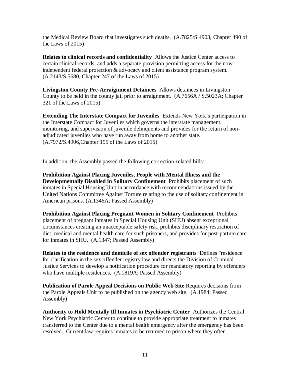the Medical Review Board that investigates such deaths. (A.7825/S.4903, Chapter 490 of the Laws of 2015)

**Relates to clinical records and confidentiality** Allows the Justice Center access to certain clinical records, and adds a separate provision permitting access for the nowindependent federal protection & advocacy and client assistance program system. (A.2143/S.5680, Chapter 247 of the Laws of 2015)

**Livingston County Pre-Arraignment Detainees** Allows detainees in Livingston County to be held in the county jail prior to arraignment. (A.7656A / S.5023A; Chapter 321 of the Laws of 2015)

**Extending The Interstate Compact for Juveniles** Extends New York's participation in the Interstate Compact for Juveniles which governs the interstate management, monitoring, and supervision of juvenile delinquents and provides for the return of nonadjudicated juveniles who have run away from home to another state. (A.7972/S.4906,Chapter 195 of the Laws of 2015)

In addition, the Assembly passed the following correction-related bills:

**Prohibition Against Placing Juveniles, People with Mental Illness and the Developmentally Disabled in Solitary Confinement** Prohibits placement of such inmates in Special Housing Unit in accordance with recommendations issued by the United Nations Committee Against Torture relating to the use of solitary confinement in American prisons. (A.1346A; Passed Assembly)

**Prohibition Against Placing Pregnant Women in Solitary Confinement** Prohibits placement of pregnant inmates in Special Housing Unit (SHU) absent exceptional circumstances creating an unacceptable safety risk, prohibits disciplinary restriction of diet, medical and mental health care for such prisoners, and provides for post-partum care for inmates in SHU. (A.1347; Passed Assembly)

**Relates to the residence and domicile of sex offender registrants** Defines "residence" for clarification in the sex offender registry law and directs the Division of Criminal Justice Services to develop a notification procedure for mandatory reporting by offenders who have multiple residences. (A.1819A; Passed Assembly)

**Publication of Parole Appeal Decisions on Public Web Site** Requires decisions from the Parole Appeals Unit to be published on the agency web site. (A.1984; Passed Assembly)

**Authority to Hold Mentally Ill Inmates in Psychiatric Center** Authorizes the Central New York Psychiatric Center to continue to provide appropriate treatment to inmates transferred to the Center due to a mental health emergency after the emergency has been resolved. Current law requires inmates to be returned to prison where they often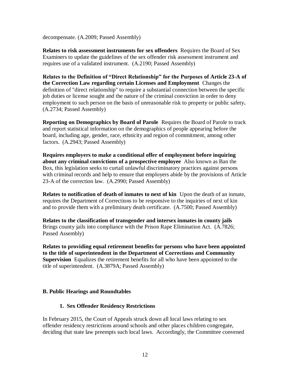decompensate. (A.2009; Passed Assembly)

**Relates to risk assessment instruments for sex offenders** Requires the Board of Sex Examiners to update the guidelines of the sex offender risk assessment instrument and requires use of a validated instrument. (A.2190; Passed Assembly)

**Relates to the Definition of "Direct Relationship" for the Purposes of Article 23-A of the Correction Law regarding certain Licenses and Employment** Changes the definition of "direct relationship" to require a substantial connection between the specific job duties or license sought and the nature of the criminal conviction in order to deny employment to such person on the basis of unreasonable risk to property or public safety**.**  (A.2734; Passed Assembly)

**Reporting on Demographics by Board of Parole** Requires the Board of Parole to track and report statistical information on the demographics of people appearing before the board, including age, gender, race, ethnicity and region of commitment, among other factors. (A.2943; Passed Assembly)

**Requires employers to make a conditional offer of employment before inquiring about any criminal convictions of a prospective employee** Also known as Ban the Box, this legislation seeks to curtail unlawful discriminatory practices against persons with criminal records and help to ensure that employers abide by the provisions of Article 23-A of the correction law. (A.2990; Passed Assembly)

**Relates to notification of death of inmates to next of kin** Upon the death of an inmate, requires the Department of Corrections to be responsive to the inquiries of next of kin and to provide them with a preliminary death certificate. (A.7500; Passed Assembly)

**Relates to the classification of transgender and intersex inmates in county jails**  Brings county jails into compliance with the Prison Rape Elimination Act. (A.7826; Passed Assembly)

**Relates to providing equal retirement benefits for persons who have been appointed to the title of superintendent in the Department of Corrections and Community Supervision** Equalizes the retirement benefits for all who have been appointed to the title of superintendent. (A.3879A; Passed Assembly)

# <span id="page-16-0"></span>**B. Public Hearings and Roundtables**

### **1. Sex Offender Residency Restrictions**

In February 2015, the Court of Appeals struck down all local laws relating to sex offender residency restrictions around schools and other places children congregate, deciding that state law preempts such local laws. Accordingly, the Committee convened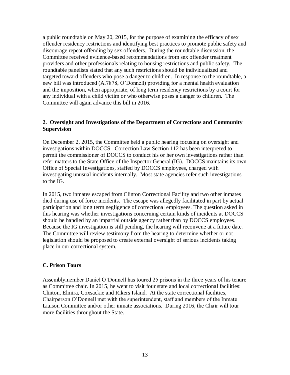a public roundtable on May 20, 2015, for the purpose of examining the efficacy of sex offender residency restrictions and identifying best practices to promote public safety and discourage repeat offending by sex offenders. During the roundtable discussion, the Committee received evidence-based recommendations from sex offender treatment providers and other professionals relating to housing restrictions and public safety. The roundtable panelists stated that any such restrictions should be individualized and targeted toward offenders who pose a danger to children. In response to the roundtable, a new bill was introduced (A.7878, O'Donnell) providing for a mental health evaluation and the imposition, when appropriate, of long term residency restrictions by a court for any individual with a child victim or who otherwise poses a danger to children. The Committee will again advance this bill in 2016.

# **2. Oversight and Investigations of the Department of Corrections and Community Supervision**

On December 2, 2015, the Committee held a public hearing focusing on oversight and investigations within DOCCS. Correction Law Section 112 has been interpreted to permit the commissioner of DOCCS to conduct his or her own investigations rather than refer matters to the State Office of the Inspector General (IG). DOCCS maintains its own Office of Special Investigations, staffed by DOCCS employees, charged with investigating unusual incidents internally. Most state agencies refer such investigations to the IG.

In 2015, two inmates escaped from Clinton Correctional Facility and two other inmates died during use of force incidents. The escape was allegedly facilitated in part by actual participation and long term negligence of correctional employees. The question asked in this hearing was whether investigations concerning certain kinds of incidents at DOCCS should be handled by an impartial outside agency rather than by DOCCS employees. Because the IG investigation is still pending, the hearing will reconvene at a future date. The Committee will review testimony from the hearing to determine whether or not legislation should be proposed to create external oversight of serious incidents taking place in our correctional system.

### <span id="page-17-0"></span>**C. Prison Tours**

Assemblymember Daniel O'Donnell has toured 25 prisons in the three years of his tenure as Committee chair. In 2015, he went to visit four state and local correctional facilities: Clinton, Elmira, Coxsackie and Rikers Island. At the state correctional facilities, Chairperson O'Donnell met with the superintendent, staff and members of the Inmate Liaison Committee and/or other inmate associations. During 2016, the Chair will tour more facilities throughout the State.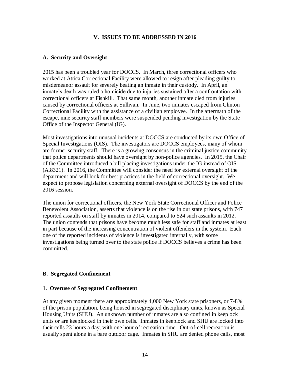### **V. ISSUES TO BE ADDRESSED IN 2016**

# <span id="page-18-1"></span><span id="page-18-0"></span>**A. Security and Oversight**

2015 has been a troubled year for DOCCS. In March, three correctional officers who worked at Attica Correctional Facility were allowed to resign after pleading guilty to misdemeanor assault for severely beating an inmate in their custody. In April, an inmate's death was ruled a homicide due to injuries sustained after a confrontation with correctional officers at Fishkill. That same month, another inmate died from injuries caused by correctional officers at Sullivan. In June, two inmates escaped from Clinton Correctional Facility with the assistance of a civilian employee. In the aftermath of the escape, nine security staff members were suspended pending investigation by the State Office of the Inspector General (IG).

Most investigations into unusual incidents at DOCCS are conducted by its own Office of Special Investigations (OIS). The investigators are DOCCS employees, many of whom are former security staff. There is a growing consensus in the criminal justice community that police departments should have oversight by non-police agencies. In 2015, the Chair of the Committee introduced a bill placing investigations under the IG instead of OIS (A.8321). In 2016, the Committee will consider the need for external oversight of the department and will look for best practices in the field of correctional oversight. We expect to propose legislation concerning external oversight of DOCCS by the end of the 2016 session.

The union for correctional officers, the New York State Correctional Officer and Police Benevolent Association, asserts that violence is on the rise in our state prisons, with 747 reported assaults on staff by inmates in 2014, compared to 524 such assaults in 2012. The union contends that prisons have become much less safe for staff and inmates at least in part because of the increasing concentration of violent offenders in the system. Each one of the reported incidents of violence is investigated internally, with some investigations being turned over to the state police if DOCCS believes a crime has been committed.

# <span id="page-18-2"></span>**B. Segregated Confinement**

### **1. Overuse of Segregated Confinement**

At any given moment there are approximately 4,000 New York state prisoners, or 7-8% of the prison population, being housed in segregated disciplinary units, known as Special Housing Units (SHU). An unknown number of inmates are also confined in keeplock units or are keeplocked in their own cells. Inmates in keeplock and SHU are locked into their cells 23 hours a day, with one hour of recreation time. Out-of-cell recreation is usually spent alone in a bare outdoor cage. Inmates in SHU are denied phone calls, most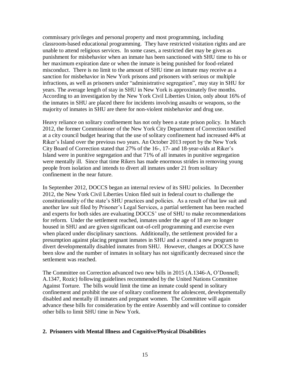commissary privileges and personal property and most programming, including classroom-based educational programming. They have restricted visitation rights and are unable to attend religious services. In some cases, a restricted diet may be given as punishment for misbehavior when an inmate has been sanctioned with SHU time to his or her maximum expiration date or when the inmate is being punished for food-related misconduct. There is no limit to the amount of SHU time an inmate may receive as a sanction for misbehavior in New York prisons and prisoners with serious or multiple infractions, as well as prisoners under "administrative segregation", may stay in SHU for years. The average length of stay in SHU in New York is approximately five months. According to an investigation by the New York Civil Liberties Union, only about 16% of the inmates in SHU are placed there for incidents involving assaults or weapons, so the majority of inmates in SHU are there for non-violent misbehavior and drug use.

Heavy reliance on solitary confinement has not only been a state prison policy. In March 2012, the former Commissioner of the New York City Department of Correction testified at a city council budget hearing that the use of solitary confinement had increased 44% at Riker's Island over the previous two years. An October 2013 report by the New York City Board of Correction stated that 27% of the 16-, 17- and 18-year-olds at Riker's Island were in punitive segregation and that 71% of all inmates in punitive segregation were mentally ill. Since that time Rikers has made enormous strides in removing young people from isolation and intends to divert all inmates under 21 from solitary confinement in the near future.

In September 2012, DOCCS began an internal review of its SHU policies. In December 2012, the New York Civil Liberties Union filed suit in federal court to challenge the constitutionality of the state's SHU practices and policies. As a result of that law suit and another law suit filed by Prisoner's Legal Services, a partial settlement has been reached and experts for both sides are evaluating DOCCS' use of SHU to make recommendations for reform. Under the settlement reached, inmates under the age of 18 are no longer housed in SHU and are given significant out-of-cell programming and exercise even when placed under disciplinary sanctions. Additionally, the settlement provided for a presumption against placing pregnant inmates in SHU and a created a new program to divert developmentally disabled inmates from SHU. However, changes at DOCCS have been slow and the number of inmates in solitary has not significantly decreased since the settlement was reached.

The Committee on Correction advanced two new bills in 2015 (A.1346-A, O'Donnell; A.1347, Rozic) following guidelines recommended by the United Nations Committee Against Torture. The bills would limit the time an inmate could spend in solitary confinement and prohibit the use of solitary confinement for adolescent, developmentally disabled and mentally ill inmates and pregnant women. The Committee will again advance these bills for consideration by the entire Assembly and will continue to consider other bills to limit SHU time in New York.

### **2. Prisoners with Mental Illness and Cognitive/Physical Disabilities**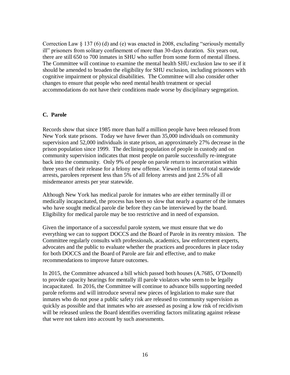Correction Law § 137 (6) (d) and (e) was enacted in 2008, excluding "seriously mentally ill" prisoners from solitary confinement of more than 30-days duration. Six years out, there are still 650 to 700 inmates in SHU who suffer from some form of mental illness. The Committee will continue to examine the mental health SHU exclusion law to see if it should be amended to broaden the eligibility for SHU exclusion, including prisoners with cognitive impairment or physical disabilities. The Committee will also consider other changes to ensure that people who need mental health treatment or special accommodations do not have their conditions made worse by disciplinary segregation.

### <span id="page-20-0"></span>**C. Parole**

Records show that since 1985 more than half a million people have been released from New York state prisons. Today we have fewer than 35,000 individuals on community supervision and 52,000 individuals in state prison, an approximately 27% decrease in the prison population since 1999. The declining population of people in custody and on community supervision indicates that most people on parole successfully re-integrate back into the community. Only 9% of people on parole return to incarceration within three years of their release for a felony new offense. Viewed in terms of total statewide arrests, parolees represent less than 5% of all felony arrests and just 2.5% of all misdemeanor arrests per year statewide.

Although New York has medical parole for inmates who are either terminally ill or medically incapacitated, the process has been so slow that nearly a quarter of the inmates who have sought medical parole die before they can be interviewed by the board. Eligibility for medical parole may be too restrictive and in need of expansion.

Given the importance of a successful parole system, we must ensure that we do everything we can to support DOCCS and the Board of Parole in its reentry mission. The Committee regularly consults with professionals, academics, law enforcement experts, advocates and the public to evaluate whether the practices and procedures in place today for both DOCCS and the Board of Parole are fair and effective, and to make recommendations to improve future outcomes.

In 2015, the Committee advanced a bill which passed both houses (A.7685, O'Donnell) to provide capacity hearings for mentally ill parole violators who seem to be legally incapacitated. In 2016, the Committee will continue to advance bills supporting needed parole reforms and will introduce several new pieces of legislation to make sure that inmates who do not pose a public safety risk are released to community supervision as quickly as possible and that inmates who are assessed as posing a low risk of recidivism will be released unless the Board identifies overriding factors militating against release that were not taken into account by such assessments.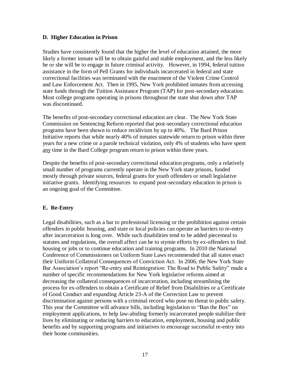### <span id="page-21-0"></span>**D. Higher Education in Prison**

Studies have consistently found that the higher the level of education attained, the more likely a former inmate will be to obtain gainful and stable employment, and the less likely he or she will be to engage in future criminal activity. However, in 1994, federal tuition assistance in the form of Pell Grants for individuals incarcerated in federal and state correctional facilities was terminated with the enactment of the Violent Crime Control and Law Enforcement Act. Then in 1995, New York prohibited inmates from accessing state funds through the Tuition Assistance Program (TAP) for post-secondary education. Most college programs operating in prisons throughout the state shut down after TAP was discontinued.

The benefits of post-secondary correctional education are clear. The New York State Commission on Sentencing Reform reported that post-secondary correctional education programs have been shown to reduce recidivism by up to 40%. The Bard Prison Initiative reports that while nearly 40% of inmates statewide return to prison within three years for a new crime or a parole technical violation, only 4% of students who have spent any time in the Bard College program return to prison within three years.

Despite the benefits of post-secondary correctional education programs, only a relatively small number of programs currently operate in the New York state prisons, funded mostly through private sources, federal grants for youth offenders or small legislative initiative grants. Identifying resources to expand post-secondary education in prison is an ongoing goal of the Committee.

### <span id="page-21-1"></span>**E. Re-Entry**

Legal disabilities, such as a bar to professional licensing or the prohibition against certain offenders in public housing, and state or local policies can operate as barriers to re-entry after incarceration is long over. While such disabilities tend to be added piecemeal to statutes and regulations, the overall affect can be to stymie efforts by ex-offenders to find housing or jobs or to continue education and training programs. In 2010 the National Conference of Commissioners on Uniform State Laws recommended that all states enact their Uniform Collateral Consequences of Conviction Act. In 2006, the New York State Bar Association's report "Re-entry and Reintegration: The Road to Public Safety" made a number of specific recommendations for New York legislative reforms aimed at decreasing the collateral consequences of incarceration, including streamlining the process for ex-offenders to obtain a Certificate of Relief from Disabilities or a Certificate of Good Conduct and expanding Article 23-A of the Correction Law to prevent discrimination against persons with a criminal record who pose no threat to public safety. This year the Committee will advance bills, including legislation to "Ban the Box" on employment applications, to help law-abiding formerly incarcerated people stabilize their lives by eliminating or reducing barriers to education, employment, housing and public benefits and by supporting programs and initiatives to encourage successful re-entry into their home communities.